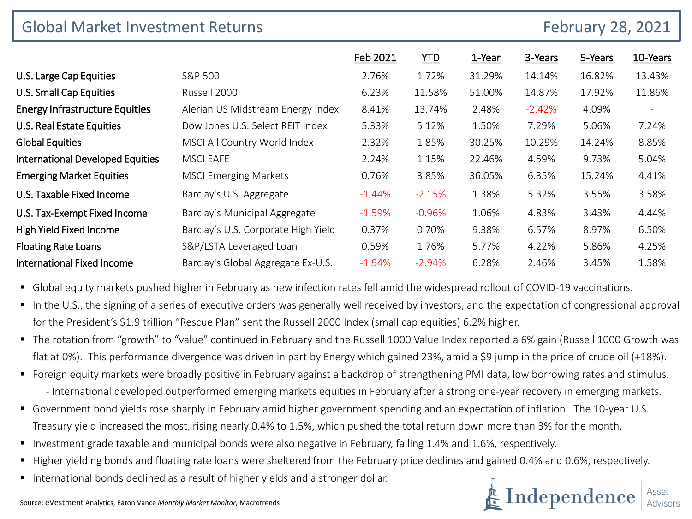| <b>Global Market Investment Returns</b><br><b>February 28, 2021</b> |                                     |           |           |        |          |         |                          |
|---------------------------------------------------------------------|-------------------------------------|-----------|-----------|--------|----------|---------|--------------------------|
|                                                                     |                                     | Feb 2021  | YTD.      | 1-Year | 3-Years  | 5-Years | 10-Years                 |
| U.S. Large Cap Equities                                             | S&P 500                             | 2.76%     | 1.72%     | 31.29% | 14.14%   | 16.82%  | 13.43%                   |
| U.S. Small Cap Equities                                             | Russell 2000                        | 6.23%     | 11.58%    | 51.00% | 14.87%   | 17.92%  | 11.86%                   |
| <b>Energy Infrastructure Equities</b>                               | Alerian US Midstream Energy Index   | 8.41%     | 13.74%    | 2.48%  | $-2.42%$ | 4.09%   | $\overline{\phantom{a}}$ |
| U.S. Real Estate Equities                                           | Dow Jones U.S. Select REIT Index    | 5.33%     | 5.12%     | 1.50%  | 7.29%    | 5.06%   | 7.24%                    |
| <b>Global Equities</b>                                              | MSCI All Country World Index        | 2.32%     | 1.85%     | 30.25% | 10.29%   | 14.24%  | 8.85%                    |
| <b>International Developed Equities</b>                             | <b>MSCI EAFE</b>                    | 2.24%     | 1.15%     | 22.46% | 4.59%    | 9.73%   | 5.04%                    |
| <b>Emerging Market Equities</b>                                     | <b>MSCI Emerging Markets</b>        | 0.76%     | 3.85%     | 36.05% | 6.35%    | 15.24%  | 4.41%                    |
| U.S. Taxable Fixed Income                                           | Barclay's U.S. Aggregate            | $-1.44%$  | $-2.15%$  | 1.38%  | 5.32%    | 3.55%   | 3.58%                    |
| U.S. Tax-Exempt Fixed Income                                        | Barclay's Municipal Aggregate       | $-1.59%$  | $-0.96\%$ | 1.06%  | 4.83%    | 3.43%   | 4.44%                    |
| High Yield Fixed Income                                             | Barclay's U.S. Corporate High Yield | 0.37%     | 0.70%     | 9.38%  | 6.57%    | 8.97%   | 6.50%                    |
| <b>Floating Rate Loans</b>                                          | S&P/LSTA Leveraged Loan             | 0.59%     | 1.76%     | 5.77%  | 4.22%    | 5.86%   | 4.25%                    |
| International Fixed Income                                          | Barclay's Global Aggregate Ex-U.S.  | $-1.94\%$ | $-2.94%$  | 6.28%  | 2.46%    | 3.45%   | 1.58%                    |

Global equity markets pushed higher in February as new infection rates fell amid the widespread rollout of COVID-19 vaccinations.

- In the U.S., the signing of a series of executive orders was generally well received by investors, and the expectation of congressional approval for the President's \$1.9 trillion "Rescue Plan" sent the Russell 2000 Index (small cap equities) 6.2% higher.
- The rotation from "growth" to "value" continued in February and the Russell 1000 Value Index reported a 6% gain (Russell 1000 Growth was flat at 0%). This performance divergence was driven in part by Energy which gained 23%, amid a \$9 jump in the price of crude oil (+18%).
- Foreign equity markets were broadly positive in February against a backdrop of strengthening PMI data, low borrowing rates and stimulus. - International developed outperformed emerging markets equities in February after a strong one-year recovery in emerging markets.
- Government bond yields rose sharply in February amid higher government spending and an expectation of inflation. The 10-year U.S. Treasury yield increased the most, rising nearly 0.4% to 1.5%, which pushed the total return down more than 3% for the month.
- Investment grade taxable and municipal bonds were also negative in February, falling 1.4% and 1.6%, respectively.
- Higher yielding bonds and floating rate loans were sheltered from the February price declines and gained 0.4% and 0.6%, respectively.
- International bonds declined as a result of higher yields and a stronger dollar.

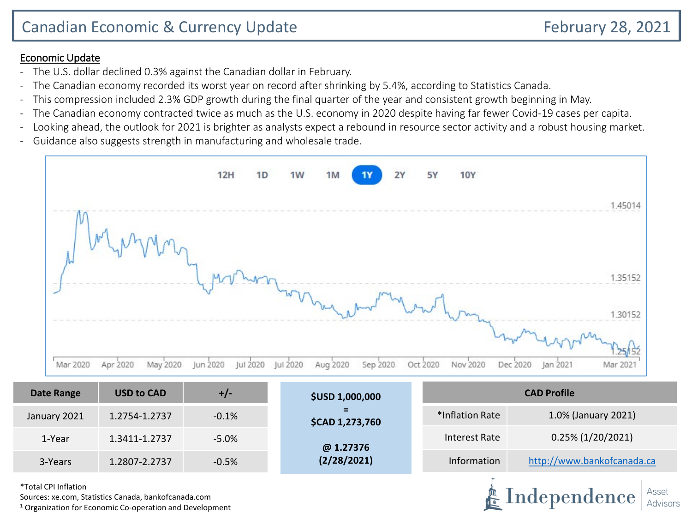- The U.S. dollar declined 0.3% against the Canadian dollar in February.
- The Canadian economy recorded its worst year on record after shrinking by 5.4%, according to Statistics Canada.
- This compression included 2.3% GDP growth during the final quarter of the year and consistent growth beginning in May.
- The Canadian economy contracted twice as much as the U.S. economy in 2020 despite having far fewer Covid-19 cases per capita.
- Looking ahead, the outlook for 2021 is brighter as analysts expect a rebound in resource sector activity and a robust housing market.
- Guidance also suggests strength in manufacturing and wholesale trade.



| Date Range   | <b>USD to CAD</b> | $+/-$    | <b>\$USD 1,000,000</b>                             | <b>CAD Profile</b> |                            |  |  |
|--------------|-------------------|----------|----------------------------------------------------|--------------------|----------------------------|--|--|
| January 2021 | 1.2754-1.2737     | $-0.1%$  | $\overline{\phantom{a}}$<br><b>\$CAD 1,273,760</b> | *Inflation Rate    | 1.0% (January 2021)        |  |  |
| 1-Year       | 1.3411-1.2737     | $-5.0\%$ | @ 1.27376                                          | Interest Rate      | $0.25\%$ (1/20/2021)       |  |  |
| 3-Years      | 1.2807-2.2737     | $-0.5%$  | (2/28/2021)                                        | Information        | http://www.bankofcanada.ca |  |  |

\*Total CPI Inflation

Sources: xe.com, Statistics Canada, bankofcanada.com

 $1$  Organization for Economic Co-operation and Development

Independence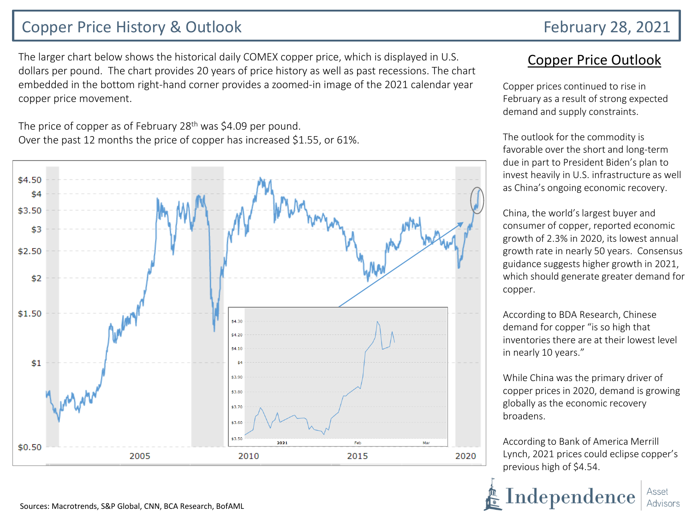## Copper Price History & Outlook February 28, 2021

The larger chart below shows the historical daily COMEX copper price, which is displayed in U.S. dollars per pound. The chart provides 20 years of price history as well as past recessions. The chart embedded in the bottom right-hand corner provides a zoomed-in image of the 2021 calendar year copper price movement.

The price of copper as of February 28<sup>th</sup> was \$4.09 per pound. Over the past 12 months the price of copper has increased \$1.55, or 61%.



## Copper Price Outlook

Copper prices continued to rise in February as a result of strong expected demand and supply constraints.

The outlook for the commodity is favorable over the short and long-term due in part to President Biden's plan to invest heavily in U.S. infrastructure as well as China's ongoing economic recovery.

China, the world's largest buyer and consumer of copper, reported economic growth of 2.3% in 2020, its lowest annual growth rate in nearly 50 years. Consensus guidance suggests higher growth in 2021, which should generate greater demand for copper.

According to BDA Research, Chinese demand for copper "is so high that inventories there are at their lowest level in nearly 10 years."

While China was the primary driver of copper prices in 2020, demand is growing globally as the economic recovery broadens.

According to Bank of America Merrill Lynch, 2021 prices could eclipse copper's previous high of \$4.54.